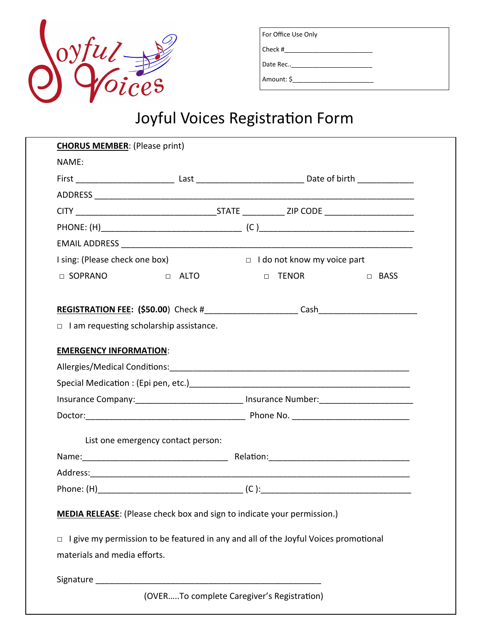

| For Office Use Only |  |
|---------------------|--|
| Check #             |  |
| Date Rec            |  |
| Amount: \$          |  |

| <b>CHORUS MEMBER:</b> (Please print)           |                                    |                                                                                                            |        |  |
|------------------------------------------------|------------------------------------|------------------------------------------------------------------------------------------------------------|--------|--|
| NAME:                                          |                                    |                                                                                                            |        |  |
|                                                |                                    | First ________________________________Last _________________________________Date of birth ________________ |        |  |
|                                                |                                    |                                                                                                            |        |  |
|                                                |                                    |                                                                                                            |        |  |
|                                                |                                    |                                                                                                            |        |  |
|                                                |                                    |                                                                                                            |        |  |
| I sing: (Please check one box)                 |                                    | I do not know my voice part                                                                                |        |  |
| □ SOPRANO                                      | D ALTO                             | $\Box$ TENOR                                                                                               | □ BASS |  |
|                                                |                                    |                                                                                                            |        |  |
|                                                |                                    |                                                                                                            |        |  |
| $\Box$ I am requesting scholarship assistance. |                                    |                                                                                                            |        |  |
| <b>EMERGENCY INFORMATION:</b>                  |                                    |                                                                                                            |        |  |
|                                                |                                    |                                                                                                            |        |  |
|                                                |                                    |                                                                                                            |        |  |
|                                                |                                    | Insurance Company: ______________________________ Insurance Number: ________________________________       |        |  |
|                                                |                                    |                                                                                                            |        |  |
|                                                | List one emergency contact person: |                                                                                                            |        |  |
|                                                |                                    |                                                                                                            |        |  |
|                                                |                                    |                                                                                                            |        |  |
|                                                |                                    |                                                                                                            |        |  |